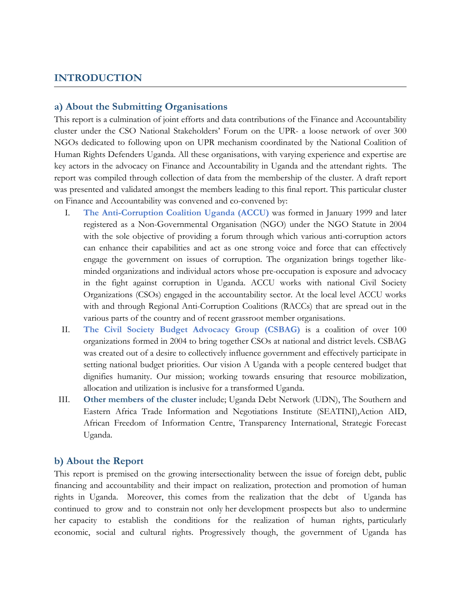### **INTRODUCTION**

#### **a) About the Submitting Organisations**

This report is <sup>a</sup> culmination of joint efforts and data contributions of the Finance and Accountability cluster under the CSO National Stakeholders' Forum on the UPR- <sup>a</sup> loose network of over 300 NGOs dedicated to following upon on UPR mechanism coordinated by the National Coalition of Human Rights Defenders Uganda. All these organisations, with varying experience and expertise are key actors in the advocacy on Finance and Accountability in Uganda and the attendant rights. The report was compiled through collection of data from the membership of the cluster. A draft report was presented and validated amongst the members leading to this final report. This particular cluster on Finance and Accountability was convened and co-convened by:

- I. **The Anti-Corruption Coalition Uganda (ACCU)** was formed in January 1999 and later registered as <sup>a</sup> Non-Governmental Organisation (NGO) under the NGO Statute in 2004 with the sole objective of providing <sup>a</sup> forum through which various anti-corruption actors can enhance their capabilities and act as one strong voice and force that can effectively engage the government on issues of corruption. The organization brings together likeminded organizations and individual actors whose pre-occupation is exposure and advocacy in the fight against corruption in Uganda. ACCU works with national Civil Society Organizations (CSOs) engaged in the accountability sector. At the local level ACCU works with and through Regional Anti-Corruption Coalitions (RACCs) that are spread out in the various parts of the country and of recent grassroot member organisations.
- II. **The Civil Society Budget Advocacy Group (CSBAG)** is <sup>a</sup> coalition of over 100 organizations formed in 2004 to bring together CSOs at national and district levels. CSBAG was created out of <sup>a</sup> desire to collectively influence government and effectively participate in setting national budget priorities. Our vision A Uganda with <sup>a</sup> people centered budget that dignifies humanity. Our mission; working towards ensuring that resource mobilization, allocation and utilization is inclusive for <sup>a</sup> transformed Uganda.
- III. **Other members of the cluster** include; Uganda Debt Network (UDN), The Southern and Eastern Africa Trade Information and Negotiations Institute (SEATINI),Action AID, African Freedom of Information Centre, Transparency International, Strategic Forecast Uganda.

#### **b) About the Report**

This report is premised on the growing intersectionality between the issue of foreign debt, public financing and accountability and their impact on realization, protection and promotion of human rights in Uganda. Moreover, this comes from the realization that the debt of Uganda has continued to grow and to constrain not only her development prospects but also to undermine her capacity to establish the conditions for the realization of human rights, particularly economic, social and cultural rights. Progressively though, the government of Uganda has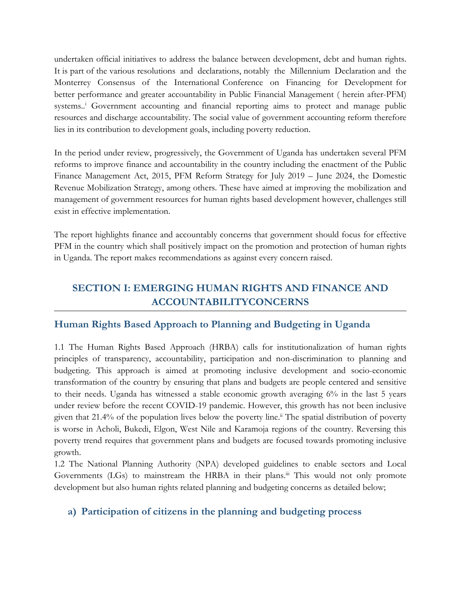undertaken official initiatives to address the balance between development, debt and human rights. It is part of the various resolutions and declarations, notably the Millennium Declaration and the Monterrey Consensus of the International Conference on Financing for Development for better performance and greater accountability in Public Financial Management ( herein after-PFM) systems.. <sup>i</sup> Government accounting and financial reporting aims to protect and manage public resources and discharge accountability. The social value of government accounting reform therefore lies in its contribution to development goals, including poverty reduction.

In the period under review, progressively, the Government of Uganda has undertaken several PFM reforms to improve finance and accountability in the country including the enactment of the Public Finance Management Act, 2015, PFM Reform Strategy for July 2019 – June 2024, the Domestic Revenue Mobilization Strategy, among others. These have aimed at improving the mobilization and management of government resources for human rights based development however, challenges still exist in effective implementation.

The report highlights finance and accountably concerns that government should focus for effective PFM in the country which shall positively impact on the promotion and protection of human rights in Uganda. The report makes recommendations as against every concern raised.

# **SECTION I: EMERGING HUMAN RIGHTS AND FINANCE AND ACCOUNTABILITYCONCERNS**

# **Human Rights Based Approach to Planning and Budgeting in Uganda**

1.1 The Human Rights Based Approach (HRBA) calls for institutionalization of human rights principles of transparency, accountability, participation and non-discrimination to planning and budgeting. This approach is aimed at promoting inclusive development and socio-economic transformation of the country by ensuring that plans and budgets are people centered and sensitive to their needs. Uganda has witnessed <sup>a</sup> stable economic growth averaging 6% in the last 5 years under review before the recent COVID-19 pandemic. However, this growth has not been inclusive given that 21.4% of the population lives below the poverty line. ii The spatial distribution of poverty is worse in Acholi, Bukedi, Elgon, West Nile and Karamoja regions of the country. Reversing this poverty trend requires that government plans and budgets are focused towards promoting inclusive growth.

1.2 The National Planning Authority (NPA) developed guidelines to enable sectors and Local Governments (LGs) to mainstream the HRBA in their plans.<sup>iii</sup> This would not only promote development but also human rights related planning and budgeting concerns as detailed below;

### **a) Participation of citizens in the planning and budgeting process**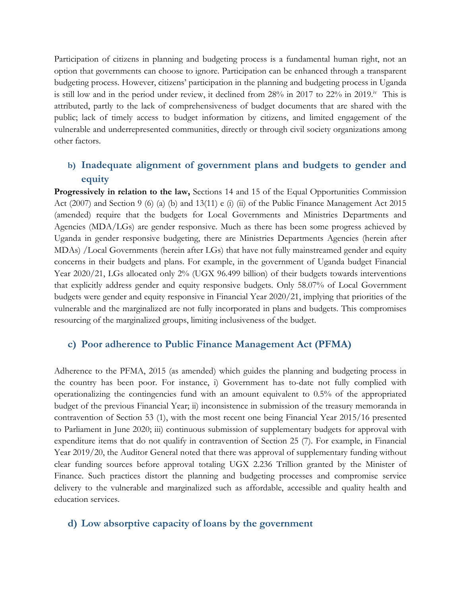Participation of citizens in planning and budgeting process is <sup>a</sup> fundamental human right, not an option that governments can choose to ignore. Participation can be enhanced through <sup>a</sup> transparent budgeting process. However, citizens' participation in the planning and budgeting process in Uganda is still low and in the period under review, it declined from 28% in 2017 to 22% in 2019.<sup>iv</sup> This is attributed, partly to the lack of comprehensiveness of budget documents that are shared with the public; lack of timely access to budget information by citizens, and limited engagement of the vulnerable and underrepresented communities, directly or through civil society organizations among other factors.

# **b) Inadequate alignment of government plans and budgets to gender and equity**

**Progressively in relation to the law,** Sections 14 and 15 of the Equal Opportunities Commission Act (2007) and Section 9 (6) (a) (b) and 13(11) <sup>e</sup> (i) (ii) of the Public Finance Management Act 2015 (amended) require that the budgets for Local Governments and Ministries Departments and Agencies (MDA/LGs) are gender responsive. Much as there has been some progress achieved by Uganda in gender responsive budgeting, there are Ministries Departments Agencies (herein after MDAs) /Local Governments (herein after LGs) that have not fully mainstreamed gender and equity concerns in their budgets and plans. For example, in the government of Uganda budget Financial Year 2020/21, LGs allocated only 2% (UGX 96.499 billion) of their budgets towards interventions that explicitly address gender and equity responsive budgets. Only 58.07% of Local Government budgets were gender and equity responsive in Financial Year 2020/21, implying that priorities of the vulnerable and the marginalized are not fully incorporated in plans and budgets. This compromises resourcing of the marginalized groups, limiting inclusiveness of the budget.

#### **c) Poor adherence to Public Finance Management Act (PFMA)**

Adherence to the PFMA, 2015 (as amended) which guides the planning and budgeting process in the country has been poor. For instance, i) Government has to-date not fully complied with operationalizing the contingencies fund with an amount equivalent to 0.5% of the appropriated budget of the previous Financial Year; ii) inconsistence in submission of the treasury memoranda in contravention of Section <sup>53</sup> (1), with the most recent one being Financial Year 2015/16 presented to Parliament in June 2020; iii) continuous submission of supplementary budgets for approval with expenditure items that do not qualify in contravention of Section 25 (7). For example, in Financial Year 2019/20, the Auditor General noted that there was approva<sup>l</sup> of supplementary funding without clear funding sources before approval totaling UGX 2.236 Trillion granted by the Minister of Finance. Such practices distort the planning and budgeting processes and compromise service delivery to the vulnerable and marginalized such as affordable, accessible and quality health and education services.

#### **d) Low absorptive capacity of loans by the government**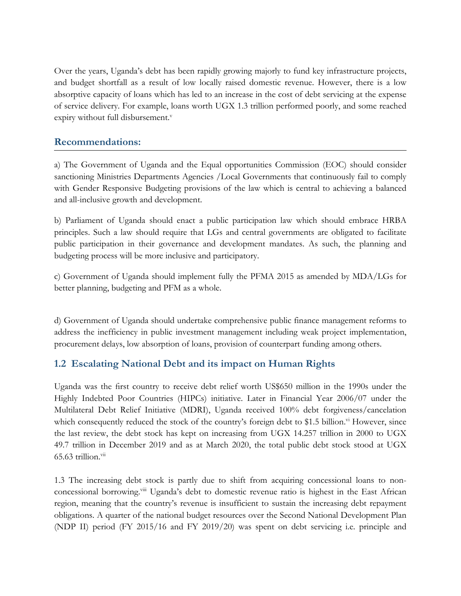Over the years, Uganda'<sup>s</sup> debt has been rapidly growing majorly to fund key infrastructure projects, and budget shortfall as <sup>a</sup> result of low locally raised domestic revenue. However, there is <sup>a</sup> low absorptive capacity of loans which has led to an increase in the cost of debt servicing at the expense of service delivery. For example, loans worth UGX 1.3 trillion performed poorly, and some reached expiry without full disbursement. v

### **Recommendations:**

a) The Government of Uganda and the Equal opportunities Commission (EOC) should consider sanctioning Ministries Departments Agencies /Local Governments that continuously fail to comply with Gender Responsive Budgeting provisions of the law which is central to achieving <sup>a</sup> balanced and all-inclusive growth and development.

b) Parliament of Uganda should enact <sup>a</sup> public participation law which should embrace HRBA principles. Such <sup>a</sup> law should require that LGs and central governments are obligated to facilitate public participation in their governance and development mandates. As such, the planning and budgeting process will be more inclusive and participatory.

c) Government of Uganda should implement fully the PFMA <sup>2015</sup> as amended by MDA/LGs for better planning, budgeting and PFM as <sup>a</sup> whole.

d) Government of Uganda should undertake comprehensive public finance management reforms to address the inefficiency in public investment management including weak project implementation, procurement delays, low absorption of loans, provision of counterpart funding among others.

# **1.2 Escalating National Debt and its impact on Human Rights**

Uganda was the first country to receive debt relief worth US\$650 million in the 1990s under the Highly Indebted Poor Countries (HIPCs) initiative. Later in Financial Year 2006/07 under the Multilateral Debt Relief Initiative (MDRI), Uganda received 100% debt forgiveness/cancelation which consequently reduced the stock of the country's foreign debt to \$1.5 billion.<sup>vi</sup> However, since the last review, the debt stock has kept on increasing from UGX 14.257 trillion in 2000 to UGX 49.7 trillion in December 2019 and as at March 2020, the total public debt stock stood at UGX 65.63 trillion. $^{\mathrm{vii}}$ 

1.3 The increasing debt stock is partly due to shift from acquiring concessional loans to nonconcessional borrowing.<sup>viii</sup> Uganda's debt to domestic revenue ratio is highest in the East African region, meaning that the country'<sup>s</sup> revenue is insufficient to sustain the increasing debt repayment obligations. A quarter of the national budget resources over the Second National Development Plan (NDP II) period (FY 2015/16 and FY 2019/20) was spent on debt servicing i.e. principle and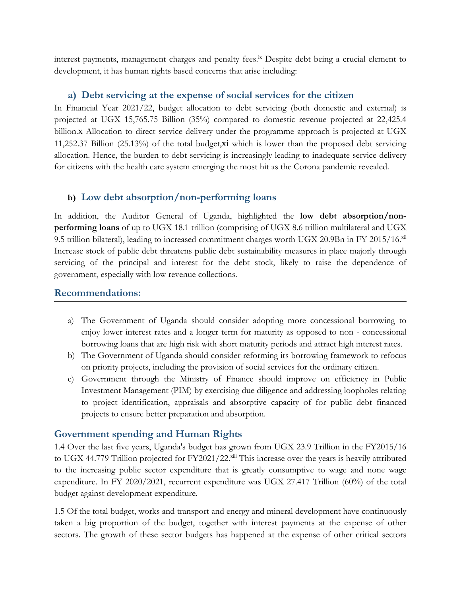interest payments, management charges and penalty fees. ix Despite debt being <sup>a</sup> crucial element to development, it has human rights based concerns that arise including:

### **a) Debt servicing at the expense of social services for the citizen**

In Financial Year 2021/22, budget allocation to debt servicing (both domestic and external) is projected at UGX 15,765.75 Billion (35%) compared to domestic revenue projected at 22,425.4 billion.<sup>x</sup> Allocation to direct service delivery under the programme approach is projected at UGX 11,252.37 Billion (25.13%) of the total budget,xi which is lower than the proposed debt servicing allocation. Hence, the burden to debt servicing is increasingly leading to inadequate service delivery for citizens with the health care system emerging the most hit as the Corona pandemic revealed.

### **b) Low debt absorption/non-performing loans**

In addition, the Auditor General of Uganda, highlighted the **low debt absorption/nonperforming loans** of up to UGX 18.1 trillion (comprising of UGX 8.6 trillion multilateral and UGX 9.5 trillion bilateral), leading to increased commitment charges worth UGX 20.9Bn in FY 2015/16. $^{\mathrm{xi}}$ Increase stock of public debt threatens public debt sustainability measures in place majorly through servicing of the principal and interest for the debt stock, likely to raise the dependence of government, especially with low revenue collections.

### **Recommendations:**

- a) The Government of Uganda should consider adopting more concessional borrowing to enjoy lower interest rates and <sup>a</sup> longer term for maturity as opposed to non - concessional borrowing loans that are high risk with short maturity periods and attract high interest rates.
- b) The Government of Uganda should consider reforming its borrowing framework to refocus on priority projects, including the provision of social services for the ordinary citizen.
- c) Government through the Ministry of Finance should improve on efficiency in Public Investment Management (PIM) by exercising due diligence and addressing loopholes relating to project identification, appraisals and absorptive capacity of for public debt financed projects to ensure better preparation and absorption.

# **Government spending and Human Rights**

1.4 Over the last five years, Uganda's budget has grown from UGX 23.9 Trillion in the FY2015/16 to UGX 44.779 Trillion projected for FY2021/22.<sup>xiii</sup> This increase over the years is heavily attributed to the increasing public sector expenditure that is greatly consumptive to wage and none wage expenditure. In FY 2020/2021, recurrent expenditure was UGX 27.417 Trillion (60%) of the total budget against development expenditure.

1.5 Of the total budget, works and transport and energy and mineral development have continuously taken <sup>a</sup> big proportion of the budget, together with interest payments at the expense of other sectors. The growth of these sector budgets has happened at the expense of other critical sectors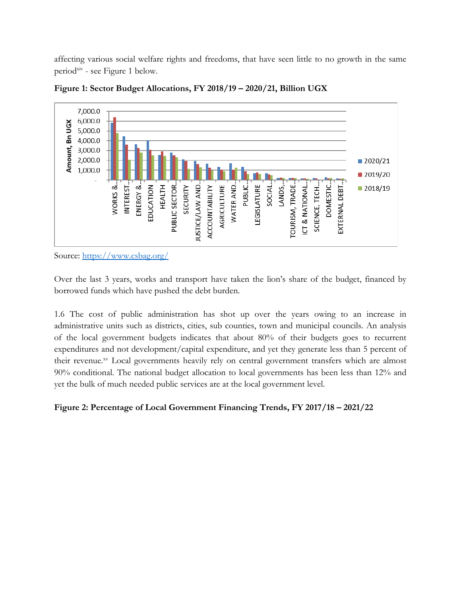affecting various social welfare rights and freedoms, that have seen little to no growth in the same period<sup>xiv</sup> - see Figure 1 below.





Over the last 3 years, works and transport have taken the lion'<sup>s</sup> share of the budget, financed by borrowed funds which have pushed the debt burden.

1.6 The cost of public administration has shot up over the years owing to an increase in administrative units such as districts, cities, sub counties, town and municipal councils. An analysis of the local government budgets indicates that about 80% of their budgets goes to recurrent expenditures and not development/capital expenditure, and ye<sup>t</sup> they generate less than <sup>5</sup> percent of their revenue. xv Local governments heavily rely on central government transfers which are almost 90% conditional. The national budget allocation to local governments has been less than 12% and ye<sup>t</sup> the bulk of much needed public services are at the local government level.

### **Figure 2: Percentage of Local Government Financing Trends, FY 2017/18 – 2021/22**

Source: <https://www.csbag.org/>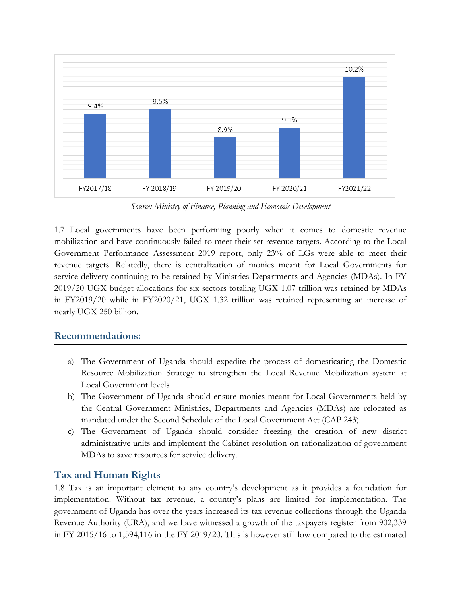

*Source: Ministry of Finance, Planning and Economic Development*

1.7 Local governments have been performing poorly when it comes to domestic revenue mobilization and have continuously failed to meet their set revenue targets. According to the Local Government Performance Assessment 2019 report, only 23% of LGs were able to meet their revenue targets. Relatedly, there is centralization of monies meant for Local Governments for service delivery continuing to be retained by Ministries Departments and Agencies (MDAs). In FY 2019/20 UGX budget allocations for six sectors totaling UGX 1.07 trillion was retained by MDAs in FY2019/20 while in FY2020/21, UGX 1.32 trillion was retained representing an increase of nearly UGX 250 billion.

#### **Recommendations:**

- a) The Government of Uganda should expedite the process of domesticating the Domestic Resource Mobilization Strategy to strengthen the Local Revenue Mobilization system at Local Government levels
- b) The Government of Uganda should ensure monies meant for Local Governments held by the Central Government Ministries, Departments and Agencies (MDAs) are relocated as mandated under the Second Schedule of the Local Government Act (CAP 243).
- c) The Government of Uganda should consider freezing the creation of new district administrative units and implement the Cabinet resolution on rationalization of government MDAs to save resources for service delivery.

#### **Tax and Human Rights**

1.8 Tax is an important element to any country'<sup>s</sup> development as it provides <sup>a</sup> foundation for implementation. Without tax revenue, <sup>a</sup> country'<sup>s</sup> plans are limited for implementation. The government of Uganda has over the years increased its tax revenue collections through the Uganda Revenue Authority (URA), and we have witnessed <sup>a</sup> growth of the taxpayers register from 902,339 in FY 2015/16 to 1,594,116 in the FY 2019/20. This is however still low compared to the estimated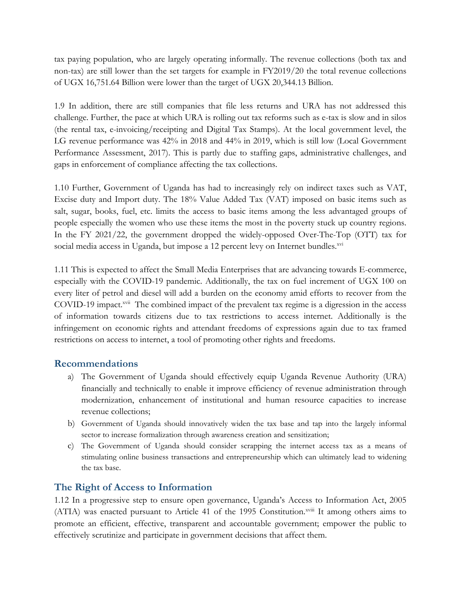tax paying population, who are largely operating informally. The revenue collections (both tax and non-tax) are still lower than the set targets for example in FY2019/20 the total revenue collections of UGX 16,751.64 Billion were lower than the target of UGX 20,344.13 Billion.

1.9 In addition, there are still companies that file less returns and URA has not addressed this challenge. Further, the pace at which URA is rolling out tax reforms such as e-tax is slow and in silos (the rental tax, e-invoicing/receipting and Digital Tax Stamps). At the local government level, the LG revenue performance was 42% in 2018 and 44% in 2019, which is still low (Local Government Performance Assessment, 2017). This is partly due to staffing gaps, administrative challenges, and gaps in enforcement of compliance affecting the tax collections.

1.10 Further, Government of Uganda has had to increasingly rely on indirect taxes such as VAT, Excise duty and Import duty. The 18% Value Added Tax (VAT) imposed on basic items such as salt, sugar, books, fuel, etc. limits the access to basic items among the less advantaged groups of people especially the women who use these items the most in the poverty stuck up country regions. In the FY 2021/22, the government dropped the widely-opposed Over-The-Top (OTT) tax for social media access in Uganda, but impose a 12 percent levy on Internet bundles.<sup>xvi</sup>

1.11 This is expected to affect the Small Media Enterprises that are advancing towards E-commerce, especially with the COVID-19 pandemic. Additionally, the tax on fuel increment of UGX 100 on every liter of petrol and diesel will add <sup>a</sup> burden on the economy amid efforts to recover from the COVID-19 impact.<sup>xvii</sup> The combined impact of the prevalent tax regime is a digression in the access of information towards citizens due to tax restrictions to access internet. Additionally is the infringement on economic rights and attendant freedoms of expressions again due to tax framed restrictions on access to internet, <sup>a</sup> tool of promoting other rights and freedoms.

### **Recommendations**

- a) The Government of Uganda should effectively equip Uganda Revenue Authority (URA) financially and technically to enable it improve efficiency of revenue administration through modernization, enhancement of institutional and human resource capacities to increase revenue collections;
- b) Government of Uganda should innovatively widen the tax base and tap into the largely informal sector to increase formalization through awareness creation and sensitization;
- c) The Government of Uganda should consider scrapping the internet access tax as <sup>a</sup> means of stimulating online business transactions and entrepreneurship which can ultimately lead to widening the tax base.

# **The Right of Access to Information**

1.12 In <sup>a</sup> progressive step to ensure open governance, Uganda'<sup>s</sup> Access to Information Act, 2005 (ATIA) was enacted pursuant to Article 41 of the 1995 Constitution.<sup>xviii</sup> It among others aims to promote an efficient, effective, transparent and accountable government; empower the public to effectively scrutinize and participate in government decisions that affect them.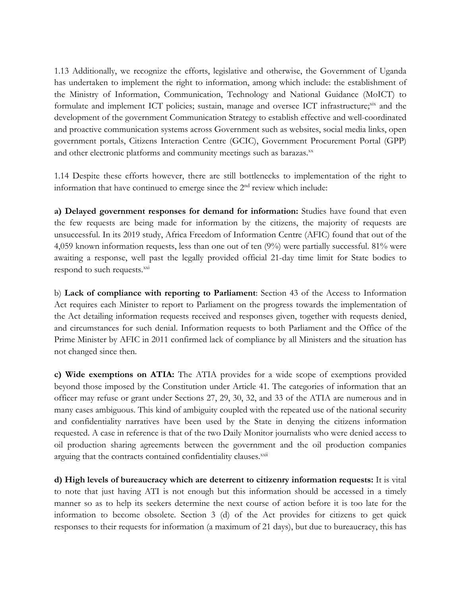1.13 Additionally, we recognize the efforts, legislative and otherwise, the Government of Uganda has undertaken to implement the right to information, among which include: the establishment of the Ministry of Information, Communication, Technology and National Guidance (MoICT) to formulate and implement ICT policies; sustain, manage and oversee ICT infrastructure; xix and the development of the government Communication Strategy to establish effective and well-coordinated and proactive communication systems across Government such as websites, social media links, open government portals, Citizens Interaction Centre (GCIC), Government Procurement Portal (GPP) and other electronic platforms and community meetings such as barazas.<sup>xx</sup>

1.14 Despite these efforts however, there are still bottlenecks to implementation of the right to information that have continued to emerge since the  $2<sup>nd</sup>$  review which include:

**a) Delayed government responses for demand for information:** Studies have found that even the few requests are being made for information by the citizens, the majority of requests are unsuccessful. In its 2019 study, Africa Freedom of Information Centre (AFIC) found that out of the 4,059 known information requests, less than one out of ten (9%) were partially successful. 81% were awaiting <sup>a</sup> response, well past the legally provided official 21-day time limit for State bodies to respond to such requests.<sup>xxi</sup>

b) **Lack of compliance with reporting to Parliament**: Section 43 of the Access to Information Act requires each Minister to report to Parliament on the progress towards the implementation of the Act detailing information requests received and responses given, together with requests denied, and circumstances for such denial. Information requests to both Parliament and the Office of the Prime Minister by AFIC in 2011 confirmed lack of compliance by all Ministers and the situation has not changed since then.

**c) Wide exemptions on ATIA:** The ATIA provides for <sup>a</sup> wide scope of exemptions provided beyond those imposed by the Constitution under Article 41. The categories of information that an officer may refuse or grant under Sections 27, 29, 30, 32, and 33 of the ATIA are numerous and in many cases ambiguous. This kind of ambiguity coupled with the repeated use of the national security and confidentiality narratives have been used by the State in denying the citizens information requested. Acase in reference is that of the two Daily Monitor journalists who were denied access to oil production sharing agreements between the government and the oil production companies arguing that the contracts contained confidentiality clauses.xxii

**d) High levels of bureaucracy which are deterrent to citizenry information requests:** It is vital to note that just having ATI is not enough but this information should be accessed in <sup>a</sup> timely manner so as to help its seekers determine the next course of action before it is too late for the information to become obsolete. Section 3 (d) of the Act provides for citizens to ge<sup>t</sup> quick responses to their requests for information (a maximum of <sup>21</sup> days), but due to bureaucracy, this has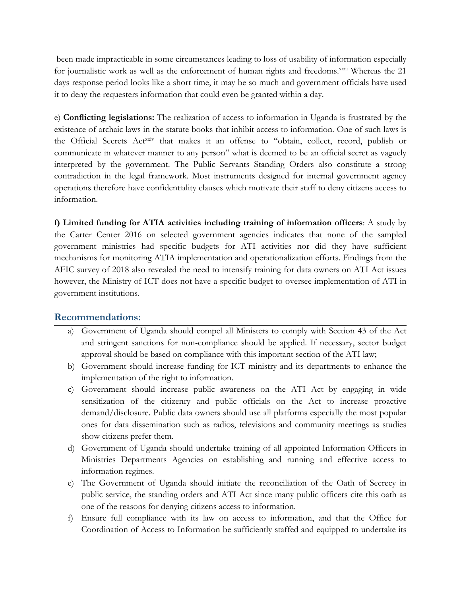been made impracticable in some circumstances leading to loss of usability of information especially for journalistic work as well as the enforcement of human rights and freedoms.<sup>xxiii</sup> Whereas the 21 days response period looks like <sup>a</sup> short time, it may be so much and government officials have used it to deny the requesters information that could even be granted within <sup>a</sup> day.

e) **Conflicting legislations:** The realization of access to information in Uganda is frustrated by the existence of archaic laws in the statute books that inhibit access to information. One of such laws is the Official Secrets Act<sup>xxiv</sup> that makes it an offense to "obtain, collect, record, publish or communicate in whatever manner to any person" what is deemed to be an official secret as vaguely interpreted by the government. The Public Servants Standing Orders also constitute <sup>a</sup> strong contradiction in the legal framework. Most instruments designed for internal government agency operations therefore have confidentiality clauses which motivate their staff to deny citizens access to information.

**f) Limited funding for ATIA activities including training of information officers**: A study by the Carter Center 2016 on selected government agencies indicates that none of the sampled government ministries had specific budgets for ATI activities nor did they have sufficient mechanisms for monitoring ATIA implementation and operationalization efforts. Findings from the AFIC survey of 2018 also revealed the need to intensify training for data owners on ATI Act issues however, the Ministry of ICT does not have <sup>a</sup> specific budget to oversee implementation of ATI in government institutions.

#### **Recommendations:**

- a) Government of Uganda should compel all Ministers to comply with Section 43 of the Act and stringent sanctions for non-compliance should be applied. If necessary, sector budget approval should be based on compliance with this important section of the ATI law;
- b) Government should increase funding for ICT ministry and its departments to enhance the implementation of the right to information.
- c) Government should increase public awareness on the ATI Act by engaging in wide sensitization of the citizenry and public officials on the Act to increase proactive demand/disclosure. Public data owners should use all platforms especially the most popular ones for data dissemination such as radios, televisions and community meetings as studies show citizens prefer them.
- d) Government of Uganda should undertake training of all appointed Information Officers in Ministries Departments Agencies on establishing and running and effective access to information regimes.
- e) The Government of Uganda should initiate the reconciliation of the Oath of Secrecy in public service, the standing orders and ATI Act since many public officers cite this oath as one of the reasons for denying citizens access to information.
- f) Ensure full compliance with its law on access to information, and that the Office for Coordination of Access to Information be sufficiently staffed and equipped to undertake its